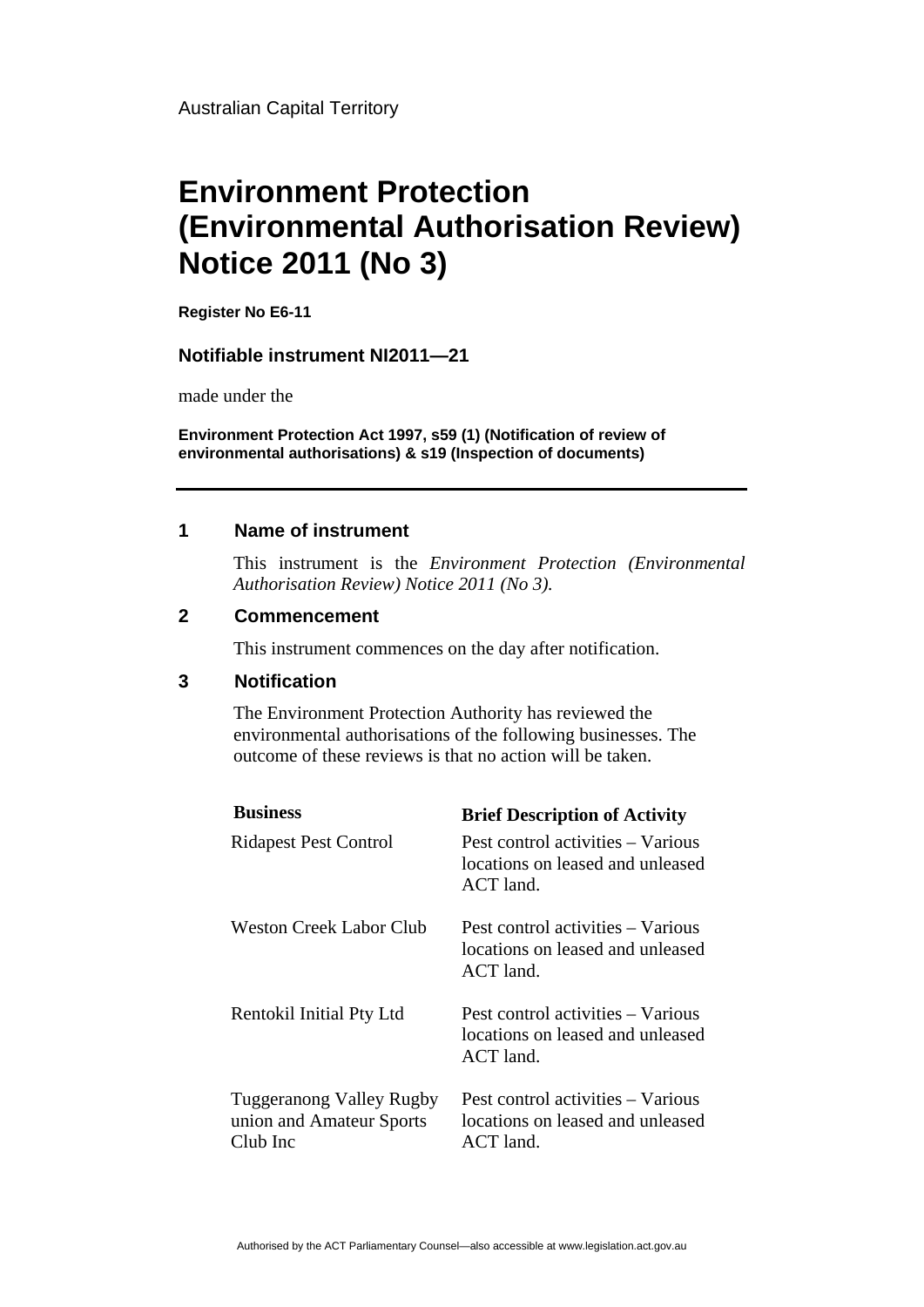Australian Capital Territory

# **Environment Protection (Environmental Authorisation Review) Notice 2011 (No 3)**

**Register No E6-11**

### **Notifiable instrument NI2011—21**

made under the

**Environment Protection Act 1997, s59 (1) (Notification of review of environmental authorisations) & s19 (Inspection of documents)**

#### **1 Name of instrument**

This instrument is the *Environment Protection (Environmental Authorisation Review) Notice 2011 (No 3).* 

#### **2 Commencement**

This instrument commences on the day after notification.

#### **3 Notification**

The Environment Protection Authority has reviewed the environmental authorisations of the following businesses. The outcome of these reviews is that no action will be taken.

| <b>Business</b>                                                         | <b>Brief Description of Activity</b>                                                 |
|-------------------------------------------------------------------------|--------------------------------------------------------------------------------------|
| <b>Ridapest Pest Control</b>                                            | Pest control activities – Various<br>locations on leased and unleased<br>ACT land.   |
| Weston Creek Labor Club                                                 | Pest control activities – Various<br>locations on leased and unleased<br>$ACT$ land. |
| Rentokil Initial Pty Ltd                                                | Pest control activities – Various<br>locations on leased and unleased<br>ACT land.   |
| <b>Tuggeranong Valley Rugby</b><br>union and Amateur Sports<br>Club Inc | Pest control activities – Various<br>locations on leased and unleased<br>$ACT$ land. |